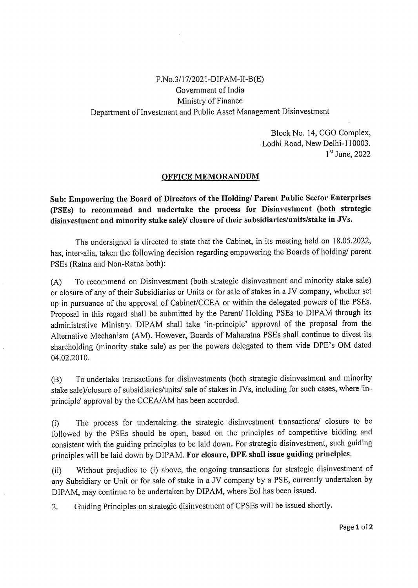## F.No.3/17/2021-DIPAM-II-B(E) Government of India Ministry of Finance Department of Investment and Public Asset Management Disinvestment

Block No. 14, CGO Complex, Lodhi Road, New Delhi-110003. 1<sup>st</sup> June, 2022

## **OFFICE MEMORANDUM**

**Sub: Empowering the Board of Directors of the Holding/ Parent Public Sector Enterprises (PSEs) to recommend and undertake the process for Disinvestment (both strategic disinvestment and minority stake sale)/ closure of their subsidiaries/units/stake in JVs.**

The undersigned is directed to state that the Cabinet, in its meeting held on 18.05.2022, has, inter-alia, taken the following decision regarding empowering the Boards of holding/ parent PSEs (Ratna and Non-Ratna both):

(A) To recommend on Disinvestment (both strategic disinvestment and minority stake sale) or closure of any of their Subsidiaries or Units or for sale of stakes in a JV company, whether set up in pursuance of the approval of Cabinet/CCEA or within the delegated powers of the PSEs. Proposal in this regard shall be submitted by the Parent/ Holding PSEs to DIPAM through its administrative Ministry. DIPAM shall take 'in-principle' approval of the proposal from the Alternative Mechanism (AM). However, Boards of Maharatna PSEs shall continue to divest its shareholding (minority stake sale) as per the powers delegated to them vide DPE's OM dated 04.02.2010.

(B) To undertake transactions for disinvestments (both strategic disinvestment and minority stake sale)/closure of subsidiaries/units/ sale of stakes in JVs, including for such cases, where 'inprinciple' approval by the CCEA/AM has been accorded.

(i) The process for undertaking the strategic disinvestment transactions/ closure to be followed by the PSEs should be open, based on the principles of competitive bidding and consistent with the guiding principles to be laid down. For strategic disinvestment, such guiding principles will be laid down by DIPAM. **For closure, DPE shall issue guiding principles.**

(ii) Without prejudice to (i) above, the ongoing transactions for strategic disinvestment of any Subsidiary or Unit or for sale of stake in a JV company by a PSE, currently undertaken by DIPAM, may continue to be undertaken by DIPAM, where EoI has been issued.

2. Guiding Principles on strategic disinvestment of CPSEs will be issued shortly.